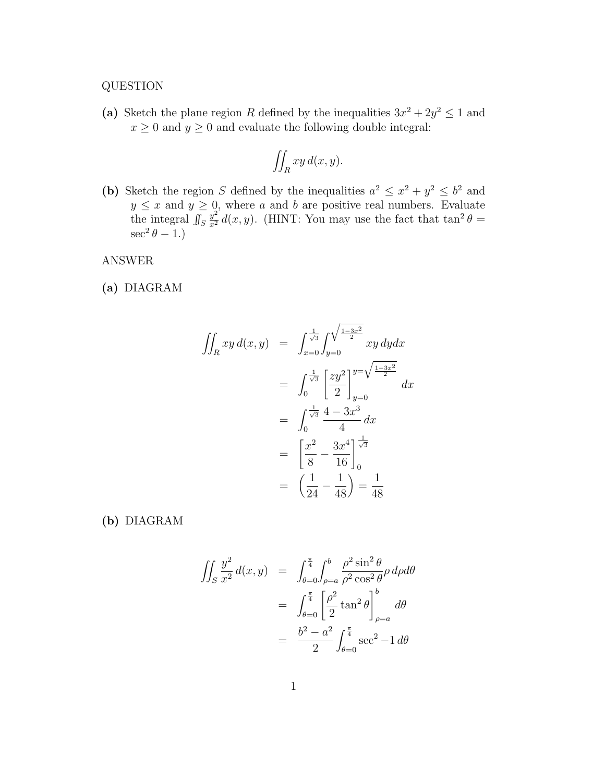## QUESTION

(a) Sketch the plane region R defined by the inequalities  $3x^2 + 2y^2 \le 1$  and  $x \geq 0$  and  $y \geq 0$  and evaluate the following double integral:

$$
\iint_R xy \, d(x, y).
$$

(b) Sketch the region S defined by the inequalities  $a^2 \leq x^2 + y^2 \leq b^2$  and  $y \leq x$  and  $y \geq 0$ , where a and b are positive real numbers. Evaluate the integral  $\iint_S$  $\frac{y^2}{x^2}d(x,y)$ . (HINT: You may use the fact that  $\tan^2\theta=$  $\sec^2\theta - 1.$ )

ANSWER

(a) DIAGRAM

$$
\iint_{R} xy \, d(x, y) = \int_{x=0}^{\frac{1}{\sqrt{3}}} \int_{y=0}^{\sqrt{\frac{1-3x^{2}}{2}}} xy \, dy dx
$$

$$
= \int_{0}^{\frac{1}{\sqrt{3}}} \left[ \frac{zy^{2}}{2} \right]_{y=0}^{y=\sqrt{\frac{1-3x^{2}}{2}}} dx
$$

$$
= \int_{0}^{\frac{1}{\sqrt{3}}} \frac{4-3x^{3}}{4} dx
$$

$$
= \left[ \frac{x^{2}}{8} - \frac{3x^{4}}{16} \right]_{0}^{\frac{1}{\sqrt{3}}}
$$

$$
= \left( \frac{1}{24} - \frac{1}{48} \right) = \frac{1}{48}
$$

(b) DIAGRAM

$$
\iint_S \frac{y^2}{x^2} d(x, y) = \int_{\theta=0}^{\frac{\pi}{4}} \int_{\rho=a}^b \frac{\rho^2 \sin^2 \theta}{\rho^2 \cos^2 \theta} \rho d\rho d\theta
$$

$$
= \int_{\theta=0}^{\frac{\pi}{4}} \left[ \frac{\rho^2}{2} \tan^2 \theta \right]_{\rho=a}^b d\theta
$$

$$
= \frac{b^2 - a^2}{2} \int_{\theta=0}^{\frac{\pi}{4}} \sec^2 - 1 d\theta
$$